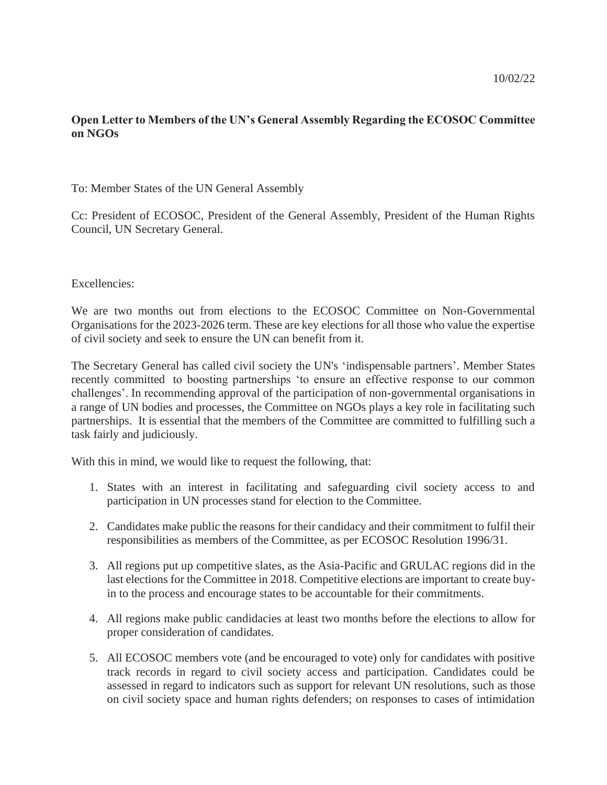# **Open Letter to Members of the UN's General Assembly Regarding the ECOSOC Committee on NGOs**

## To: Member States of the UN General Assembly

Cc: President of ECOSOC, President of the General Assembly, President of the Human Rights Council, UN Secretary General.

#### Excellencies:

We are two months out from elections to the ECOSOC Committee on Non-Governmental Organisations for the 2023-2026 term. These are key elections for all those who value the expertise of civil society and seek to ensure the UN can benefit from it.

The Secretary General has called civil society the UN's 'indispensable partners'. Member States recently committed to boosting partnerships 'to ensure an effective response to our common challenges'. In recommending approval of the participation of non-governmental organisations in a range of UN bodies and processes, the Committee on NGOs plays a key role in facilitating such partnerships. It is essential that the members of the Committee are committed to fulfilling such a task fairly and judiciously.

With this in mind, we would like to request the following, that:

- 1. States with an interest in facilitating and safeguarding civil society access to and participation in UN processes stand for election to the Committee.
- 2. Candidates make public the reasons for their candidacy and their commitment to fulfil their responsibilities as members of the Committee, as per ECOSOC Resolution 1996/31.
- 3. All regions put up competitive slates, as the Asia-Pacific and GRULAC regions did in the last elections for the Committee in 2018. Competitive elections are important to create buyin to the process and encourage states to be accountable for their commitments.
- 4. All regions make public candidacies at least two months before the elections to allow for proper consideration of candidates.
- 5. All ECOSOC members vote (and be encouraged to vote) only for candidates with positive track records in regard to civil society access and participation. Candidates could be assessed in regard to indicators such as support for relevant UN resolutions, such as those on civil society space and human rights defenders; on responses to cases of intimidation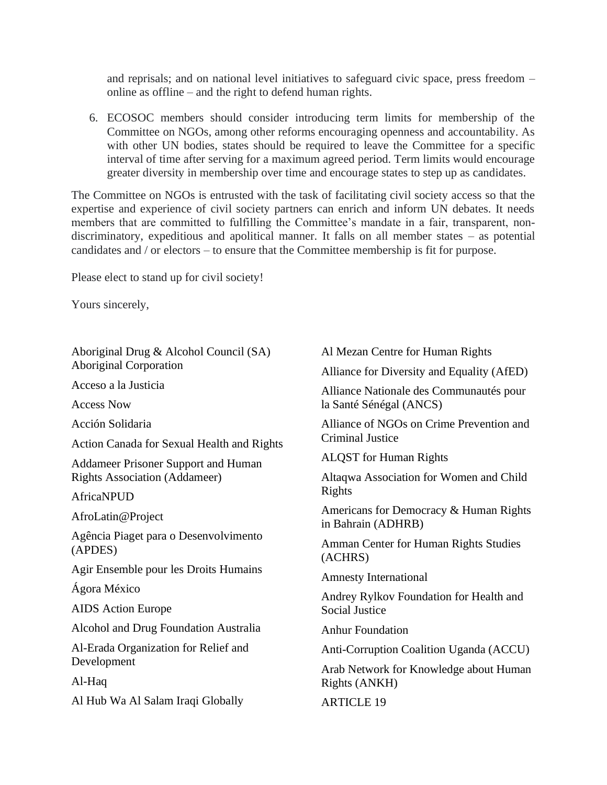and reprisals; and on national level initiatives to safeguard civic space, press freedom – online as offline – and the right to defend human rights.

6. ECOSOC members should consider introducing term limits for membership of the Committee on NGOs, among other reforms encouraging openness and accountability. As with other UN bodies, states should be required to leave the Committee for a specific interval of time after serving for a maximum agreed period. Term limits would encourage greater diversity in membership over time and encourage states to step up as candidates.

The Committee on NGOs is entrusted with the task of facilitating civil society access so that the expertise and experience of civil society partners can enrich and inform UN debates. It needs members that are committed to fulfilling the Committee's mandate in a fair, transparent, nondiscriminatory, expeditious and apolitical manner. It falls on all member states – as potential candidates and / or electors – to ensure that the Committee membership is fit for purpose.

Please elect to stand up for civil society!

Yours sincerely,

Aboriginal Drug & Alcohol Council (SA) Aboriginal Corporation Acceso a la Justicia Access Now

Acción Solidaria

Action Canada for Sexual Health and Rights

Addameer Prisoner Support and Human Rights Association (Addameer)

AfricaNPUD

AfroLatin@Project

Agência Piaget para o Desenvolvimento (APDES)

Agir Ensemble pour les Droits Humains

Ágora México

AIDS Action Europe

Alcohol and Drug Foundation Australia

Al-Erada Organization for Relief and Development

Al-Haq

Al Hub Wa Al Salam Iraqi Globally

Al Mezan Centre for Human Rights

Alliance for Diversity and Equality (AfED)

Alliance Nationale des Communautés pour la Santé Sénégal (ANCS)

Alliance of NGOs on Crime Prevention and Criminal Justice

ALQST for Human Rights

Altaqwa Association for Women and Child Rights

Americans for Democracy & Human Rights in Bahrain (ADHRB)

Amman Center for Human Rights Studies (ACHRS)

Amnesty International

Andrey Rylkov Foundation for Health and Social Justice

Anhur Foundation

Anti-Corruption Coalition Uganda (ACCU)

Arab Network for Knowledge about Human Rights (ANKH)

**ARTICLE 19**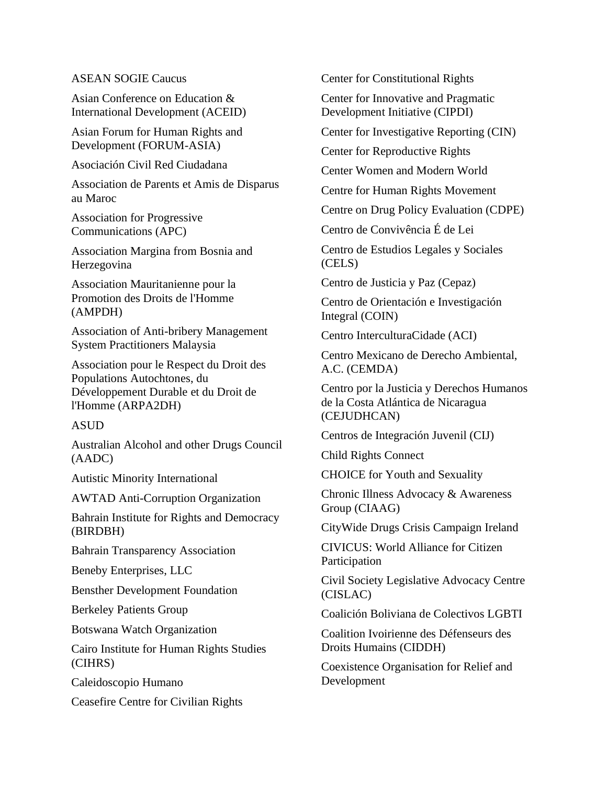### ASEAN SOGIE Caucus

Asian Conference on Education & International Development (ACEID)

Asian Forum for Human Rights and Development (FORUM-ASIA)

Asociación Civil Red Ciudadana

Association de Parents et Amis de Disparus au Maroc

Association for Progressive Communications (APC)

Association Margina from Bosnia and Herzegovina

Association Mauritanienne pour la Promotion des Droits de l'Homme (AMPDH)

Association of Anti-bribery Management System Practitioners Malaysia

Association pour le Respect du Droit des Populations Autochtones, du Développement Durable et du Droit de l'Homme (ARPA2DH)

## ASUD

Australian Alcohol and other Drugs Council (AADC)

Autistic Minority International

AWTAD Anti-Corruption Organization

Bahrain Institute for Rights and Democracy (BIRDBH)

Bahrain Transparency Association

Beneby Enterprises, LLC

Bensther Development Foundation

Berkeley Patients Group

Botswana Watch Organization

Cairo Institute for Human Rights Studies (CIHRS)

Caleidoscopio Humano

Ceasefire Centre for Civilian Rights

Center for Constitutional Rights

Center for Innovative and Pragmatic Development Initiative (CIPDI)

Center for Investigative Reporting (CIN)

Center for Reproductive Rights

Center Women and Modern World

Centre for Human Rights Movement

Centre on Drug Policy Evaluation (CDPE)

Centro de Convivência É de Lei

Centro de Estudios Legales y Sociales (CELS)

Centro de Justicia y Paz (Cepaz)

Centro de Orientación e Investigación Integral (COIN)

Centro InterculturaCidade (ACI)

Centro Mexicano de Derecho Ambiental, A.C. (CEMDA)

Centro por la Justicia y Derechos Humanos de la Costa Atlántica de Nicaragua (CEJUDHCAN)

Centros de Integración Juvenil (CIJ)

Child Rights Connect

CHOICE for Youth and Sexuality

Chronic Illness Advocacy & Awareness Group (CIAAG)

CityWide Drugs Crisis Campaign Ireland

CIVICUS: World Alliance for Citizen Participation

Civil Society Legislative Advocacy Centre (CISLAC)

Coalición Boliviana de Colectivos LGBTI

Coalition Ivoirienne des Défenseurs des Droits Humains (CIDDH)

Coexistence Organisation for Relief and Development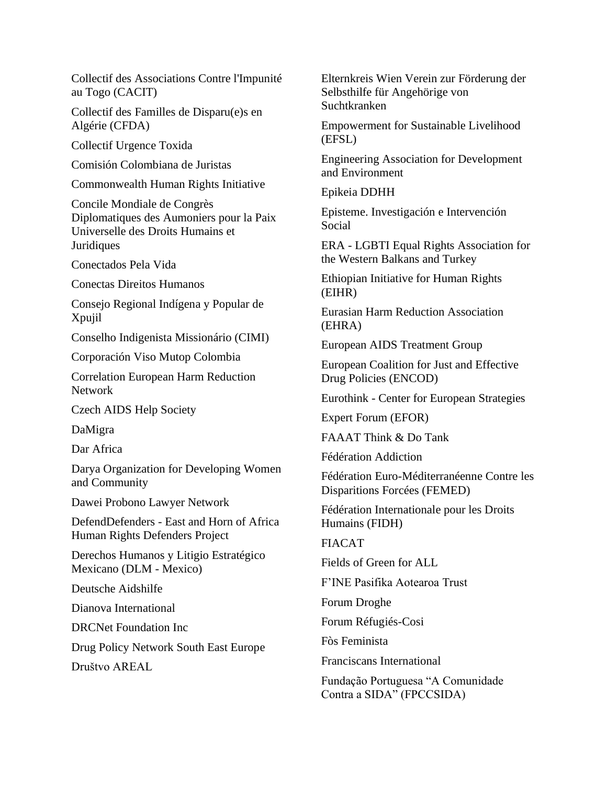Collectif des Associations Contre l'Impunité au Togo (CACIT)

Collectif des Familles de Disparu(e)s en Algérie (CFDA)

Collectif Urgence Toxida

Comisión Colombiana de Juristas

Commonwealth Human Rights Initiative

Concile Mondiale de Congrès Diplomatiques des Aumoniers pour la Paix Universelle des Droits Humains et **Juridiques** 

Conectados Pela Vida

Conectas Direitos Humanos

Consejo Regional Indígena y Popular de Xpujil

Conselho Indigenista Missionário (CIMI)

Corporación Viso Mutop Colombia

Correlation European Harm Reduction Network

Czech AIDS Help Society

DaMigra

Dar Africa

Darya Organization for Developing Women and Community

Dawei Probono Lawyer Network

DefendDefenders - East and Horn of Africa Human Rights Defenders Project

Derechos Humanos y Litigio Estratégico Mexicano (DLM - Mexico)

Deutsche Aidshilfe

Dianova International

DRCNet Foundation Inc

Drug Policy Network South East Europe

Društvo AREAL

Elternkreis Wien Verein zur Förderung der Selbsthilfe für Angehörige von Suchtkranken

Empowerment for Sustainable Livelihood (EFSL)

Engineering Association for Development and Environment

Epikeia DDHH

Episteme. Investigación e Intervención Social

ERA - LGBTI Equal Rights Association for the Western Balkans and Turkey

Ethiopian Initiative for Human Rights (EIHR)

Eurasian Harm Reduction Association (EHRA)

European AIDS Treatment Group

European Coalition for Just and Effective Drug Policies (ENCOD)

Eurothink - Center for European Strategies

Expert Forum (EFOR)

FAAAT Think & Do Tank

Fédération Addiction

Fédération Euro-Méditerranéenne Contre les Disparitions Forcées (FEMED)

Fédération Internationale pour les Droits Humains (FIDH)

FIACAT

Fields of Green for ALL

F'INE Pasifika Aotearoa Trust

Forum Droghe

Forum Réfugiés-Cosi

Fòs Feminista

Franciscans International

Fundação Portuguesa "A Comunidade Contra a SIDA" (FPCCSIDA)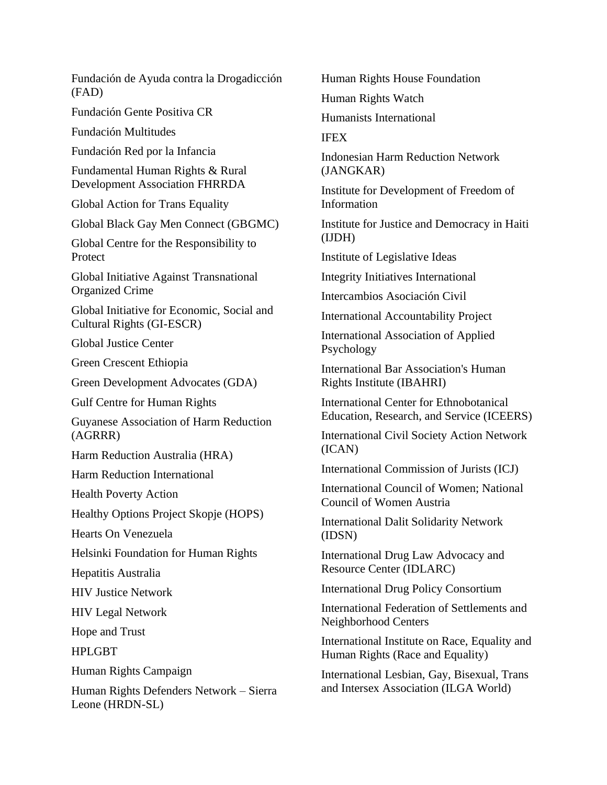Fundación de Ayuda contra la Drogadicción (FAD)

Fundación Gente Positiva CR

Fundación Multitudes

Fundación Red por la Infancia

Fundamental Human Rights & Rural Development Association FHRRDA

Global Action for Trans Equality

Global Black Gay Men Connect (GBGMC)

Global Centre for the Responsibility to Protect

Global Initiative Against Transnational Organized Crime

Global Initiative for Economic, Social and Cultural Rights (GI-ESCR)

Global Justice Center

Green Crescent Ethiopia

Green Development Advocates (GDA)

Gulf Centre for Human Rights

Guyanese Association of Harm Reduction (AGRRR)

Harm Reduction Australia (HRA)

Harm Reduction International

Health Poverty Action

Healthy Options Project Skopje (HOPS)

Hearts On Venezuela

Helsinki Foundation for Human Rights

Hepatitis Australia

HIV Justice Network

HIV Legal Network

Hope and Trust

HPLGBT

Human Rights Campaign

Human Rights Defenders Network – Sierra Leone (HRDN-SL)

Human Rights House Foundation

Human Rights Watch

Humanists International

IFEX

Indonesian Harm Reduction Network (JANGKAR)

Institute for Development of Freedom of Information

Institute for Justice and Democracy in Haiti (IJDH)

Institute of Legislative Ideas

Integrity Initiatives International

Intercambios Asociación Civil

International Accountability Project

International Association of Applied Psychology

International Bar Association's Human Rights Institute (IBAHRI)

International Center for Ethnobotanical Education, Research, and Service (ICEERS)

International Civil Society Action Network (ICAN)

International Commission of Jurists (ICJ)

International Council of Women; National Council of Women Austria

International Dalit Solidarity Network (IDSN)

International Drug Law Advocacy and Resource Center (IDLARC)

International Drug Policy Consortium

International Federation of Settlements and Neighborhood Centers

International Institute on Race, Equality and Human Rights (Race and Equality)

International Lesbian, Gay, Bisexual, Trans and Intersex Association (ILGA World)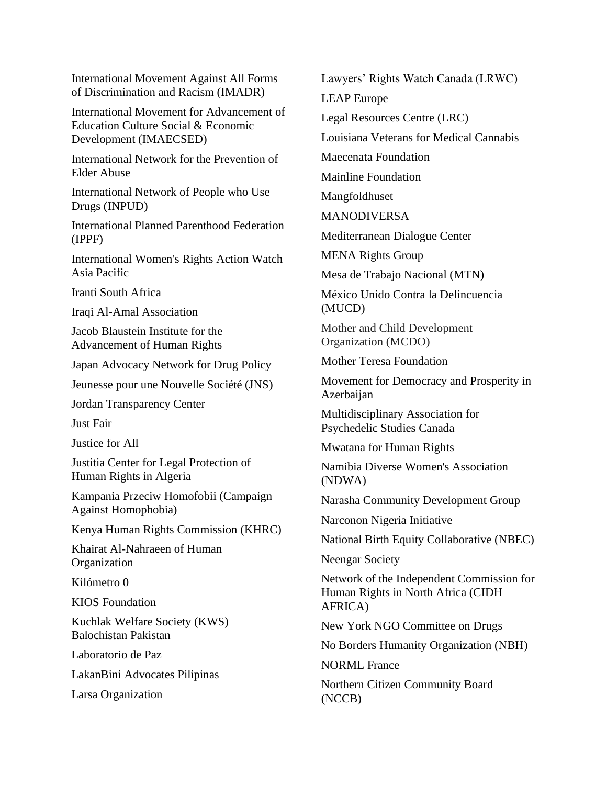International Movement Against All Forms of Discrimination and Racism (IMADR)

International Movement for Advancement of Education Culture Social & Economic Development (IMAECSED)

International Network for the Prevention of Elder Abuse

International Network of People who Use Drugs (INPUD)

International Planned Parenthood Federation (IPPF)

International Women's Rights Action Watch Asia Pacific

Iranti South Africa

Iraqi Al-Amal Association

Jacob Blaustein Institute for the Advancement of Human Rights

Japan Advocacy Network for Drug Policy

Jeunesse pour une Nouvelle Société (JNS)

Jordan Transparency Center

Just Fair

Justice for All

Justitia Center for Legal Protection of Human Rights in Algeria

Kampania Przeciw Homofobii (Campaign Against Homophobia)

Kenya Human Rights Commission (KHRC)

Khairat Al-Nahraeen of Human **Organization** 

Kilómetro 0

KIOS Foundation

Kuchlak Welfare Society (KWS) Balochistan Pakistan

Laboratorio de Paz

LakanBini Advocates Pilipinas

Larsa Organization

Lawyers' Rights Watch Canada (LRWC)

LEAP Europe

Legal Resources Centre (LRC)

Louisiana Veterans for Medical Cannabis

Maecenata Foundation

Mainline Foundation

Mangfoldhuset

MANODIVERSA

Mediterranean Dialogue Center

MENA Rights Group

Mesa de Trabajo Nacional (MTN)

México Unido Contra la Delincuencia (MUCD)

Mother and Child Development Organization (MCDO)

Mother Teresa Foundation

Movement for Democracy and Prosperity in Azerbaijan

Multidisciplinary Association for Psychedelic Studies Canada

Mwatana for Human Rights

Namibia Diverse Women's Association (NDWA)

Narasha Community Development Group

Narconon Nigeria Initiative

National Birth Equity Collaborative (NBEC)

Neengar Society

Network of the Independent Commission for Human Rights in North Africa (CIDH AFRICA)

New York NGO Committee on Drugs

No Borders Humanity Organization (NBH)

NORML France

Northern Citizen Community Board (NCCB)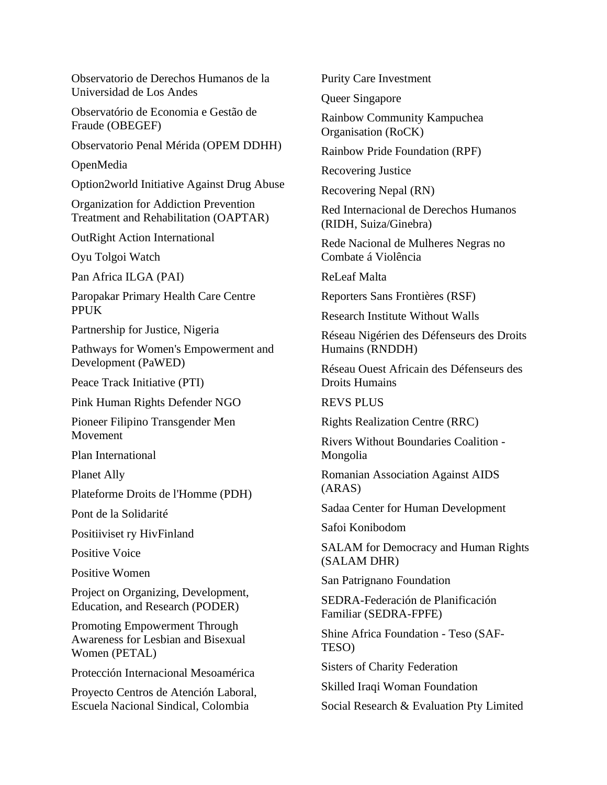Observatorio de Derechos Humanos de la Universidad de Los Andes

Observatório de Economia e Gestão de Fraude (OBEGEF)

Observatorio Penal Mérida (OPEM DDHH)

OpenMedia

Option2world Initiative Against Drug Abuse

Organization for Addiction Prevention Treatment and Rehabilitation (OAPTAR)

OutRight Action International

Oyu Tolgoi Watch

Pan Africa ILGA (PAI)

Paropakar Primary Health Care Centre PPUK

Partnership for Justice, Nigeria

Pathways for Women's Empowerment and Development (PaWED)

Peace Track Initiative (PTI)

Pink Human Rights Defender NGO

Pioneer Filipino Transgender Men Movement

Plan International

Planet Ally

Plateforme Droits de l'Homme (PDH)

Pont de la Solidarité

Positiiviset ry HivFinland

Positive Voice

Positive Women

Project on Organizing, Development, Education, and Research (PODER)

Promoting Empowerment Through Awareness for Lesbian and Bisexual Women (PETAL)

Protección Internacional Mesoamérica

Proyecto Centros de Atención Laboral, Escuela Nacional Sindical, Colombia

Purity Care Investment

Queer Singapore

Rainbow Community Kampuchea Organisation (RoCK)

Rainbow Pride Foundation (RPF)

Recovering Justice

Recovering Nepal (RN)

Red Internacional de Derechos Humanos (RIDH, Suiza/Ginebra)

Rede Nacional de Mulheres Negras no Combate á Violência

ReLeaf Malta

Reporters Sans Frontières (RSF)

Research Institute Without Walls

Réseau Nigérien des Défenseurs des Droits Humains (RNDDH)

Réseau Ouest Africain des Défenseurs des Droits Humains

REVS PLUS

Rights Realization Centre (RRC)

Rivers Without Boundaries Coalition - Mongolia

Romanian Association Against AIDS (ARAS)

Sadaa Center for Human Development

Safoi Konibodom

SALAM for Democracy and Human Rights (SALAM DHR)

San Patrignano Foundation

SEDRA-Federación de Planificación Familiar (SEDRA-FPFE)

Shine Africa Foundation - Teso (SAF-TESO)

Sisters of Charity Federation

Skilled Iraqi Woman Foundation

Social Research & Evaluation Pty Limited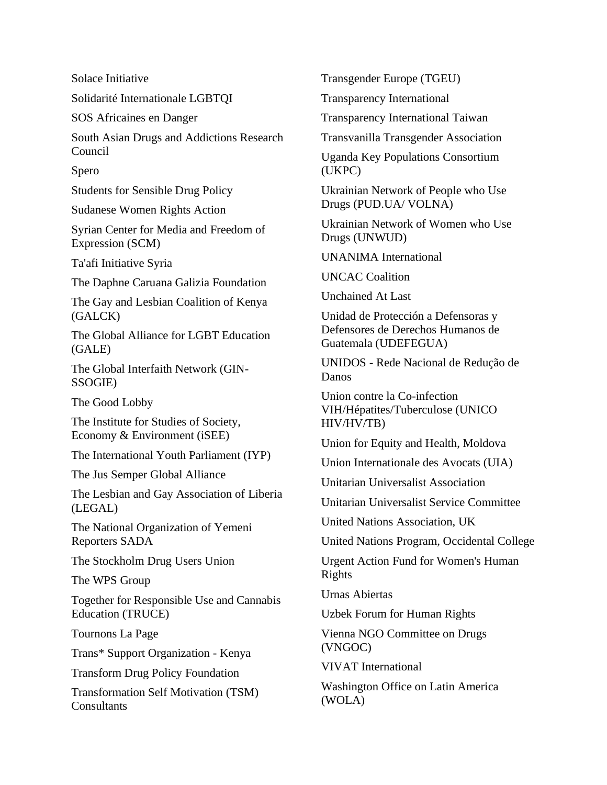Solace Initiative

Solidarité Internationale LGBTQI

SOS Africaines en Danger

South Asian Drugs and Addictions Research Council

Spero

Students for Sensible Drug Policy

Sudanese Women Rights Action

Syrian Center for Media and Freedom of Expression (SCM)

Ta'afi Initiative Syria

The Daphne Caruana Galizia Foundation

The Gay and Lesbian Coalition of Kenya (GALCK)

The Global Alliance for LGBT Education (GALE)

The Global Interfaith Network (GIN-SSOGIE)

The Good Lobby

The Institute for Studies of Society, Economy & Environment (iSEE)

The International Youth Parliament (IYP)

The Jus Semper Global Alliance

The Lesbian and Gay Association of Liberia (LEGAL)

The National Organization of Yemeni Reporters SADA

The Stockholm Drug Users Union

The WPS Group

Together for Responsible Use and Cannabis Education (TRUCE)

Tournons La Page

Trans\* Support Organization - Kenya

Transform Drug Policy Foundation

Transformation Self Motivation (TSM) **Consultants** 

Transgender Europe (TGEU)

Transparency International

Transparency International Taiwan

Transvanilla Transgender Association

Uganda Key Populations Consortium (UKPC)

Ukrainian Network of People who Use Drugs (PUD.UA/ VOLNA)

Ukrainian Network of Women who Use Drugs (UNWUD)

UNANIMA International

UNCAC Coalition

Unchained At Last

Unidad de Protección a Defensoras y Defensores de Derechos Humanos de Guatemala (UDEFEGUA)

UNIDOS - Rede Nacional de Redução de Danos

Union contre la Co-infection VIH/Hépatites/Tuberculose (UNICO HIV/HV/TB)

Union for Equity and Health, Moldova

Union Internationale des Avocats (UIA)

Unitarian Universalist Association

Unitarian Universalist Service Committee

United Nations Association, UK

United Nations Program, Occidental College

Urgent Action Fund for Women's Human Rights

Urnas Abiertas

Uzbek Forum for Human Rights

Vienna NGO Committee on Drugs (VNGOC)

VIVAT International

Washington Office on Latin America (WOLA)